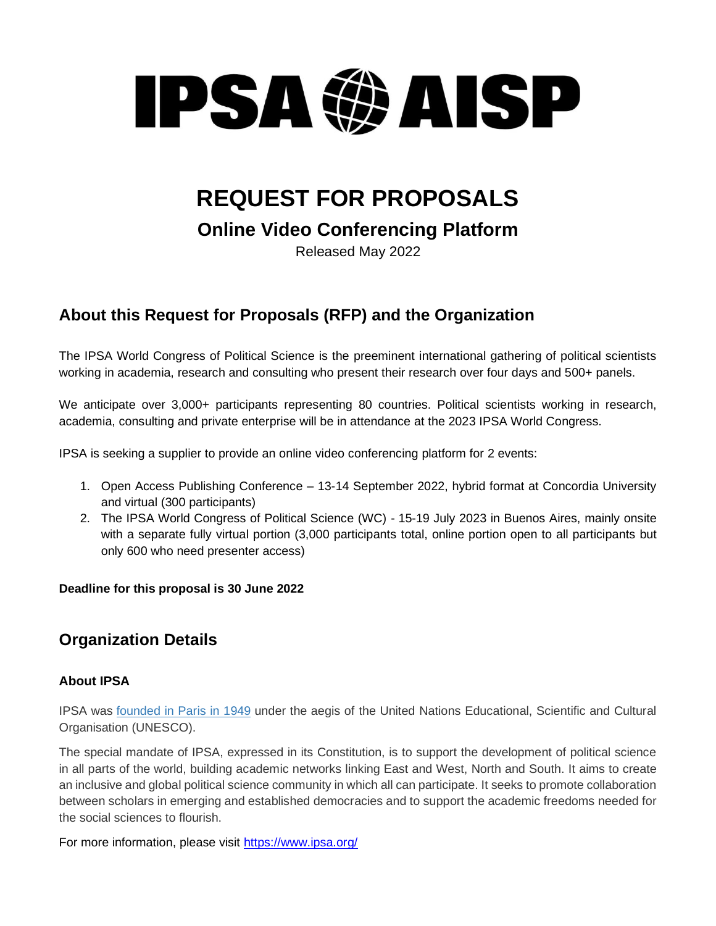# **PSAGAISP**

## **REQUEST FOR PROPOSALS**

**Online Video Conferencing Platform**

Released May 2022

## **About this Request for Proposals (RFP) and the Organization**

The IPSA World Congress of Political Science is the preeminent international gathering of political scientists working in academia, research and consulting who present their research over four days and 500+ panels.

We anticipate over 3,000+ participants representing 80 countries. Political scientists working in research, academia, consulting and private enterprise will be in attendance at the 2023 IPSA World Congress.

IPSA is seeking a supplier to provide an online video conferencing platform for 2 events:

- 1. Open Access Publishing Conference 13-14 September 2022, hybrid format at Concordia University and virtual (300 participants)
- 2. The IPSA World Congress of Political Science (WC) 15-19 July 2023 in Buenos Aires, mainly onsite with a separate fully virtual portion (3,000 participants total, online portion open to all participants but only 600 who need presenter access)

#### **Deadline for this proposal is 30 June 2022**

## **Organization Details**

#### **About IPSA**

IPSA was [founded in Paris in 1949](http://www.ipsa.org/about-ipsa/history) under the aegis of the United Nations Educational, Scientific and Cultural Organisation (UNESCO).

The special mandate of IPSA, expressed in its Constitution, is to support the development of political science in all parts of the world, building academic networks linking East and West, North and South. It aims to create an inclusive and global political science community in which all can participate. It seeks to promote collaboration between scholars in emerging and established democracies and to support the academic freedoms needed for the social sciences to flourish.

For more information, please visit<https://www.ipsa.org/>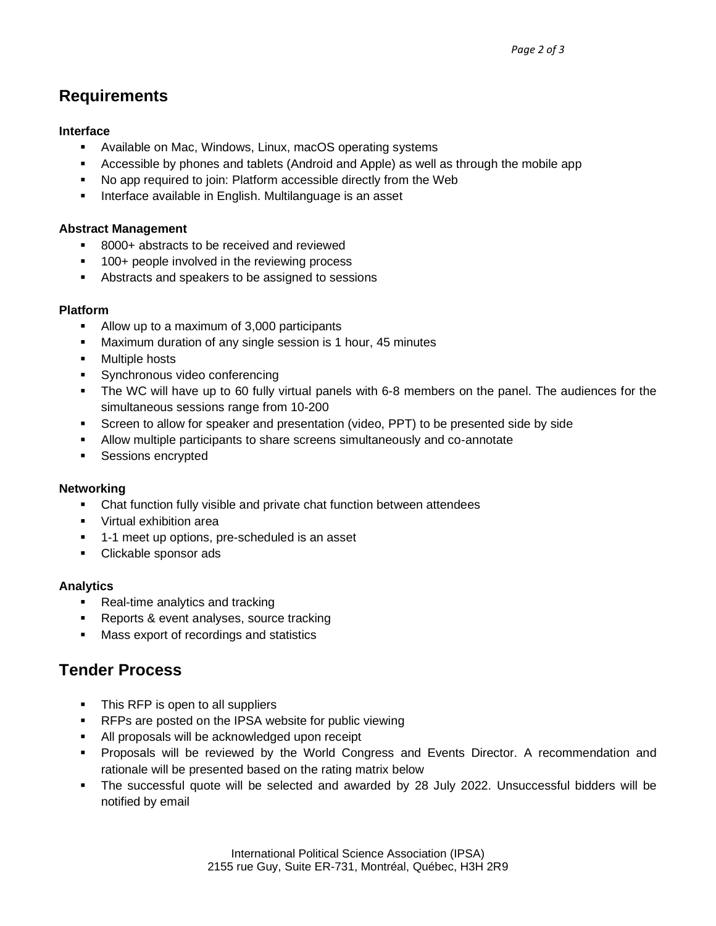## **Requirements**

#### **Interface**

- Available on Mac, Windows, Linux, macOS operating systems
- **EXEC** Accessible by phones and tablets (Android and Apple) as well as through the mobile app
- No app required to join: Platform accessible directly from the Web
- Interface available in English. Multilanguage is an asset

#### **Abstract Management**

- 8000+ abstracts to be received and reviewed
- 100+ people involved in the reviewing process
- Abstracts and speakers to be assigned to sessions

#### **Platform**

- Allow up to a maximum of 3,000 participants
- Maximum duration of any single session is 1 hour, 45 minutes
- Multiple hosts
- Synchronous video conferencing
- **.** The WC will have up to 60 fully virtual panels with 6-8 members on the panel. The audiences for the simultaneous sessions range from 10-200
- Screen to allow for speaker and presentation (video, PPT) to be presented side by side
- Allow multiple participants to share screens simultaneously and co-annotate
- Sessions encrypted

#### **Networking**

- Chat function fully visible and private chat function between attendees
- Virtual exhibition area
- 1-1 meet up options, pre-scheduled is an asset
- Clickable sponsor ads

#### **Analytics**

- Real-time analytics and tracking
- Reports & event analyses, source tracking
- Mass export of recordings and statistics

### **Tender Process**

- This RFP is open to all suppliers
- RFPs are posted on the IPSA website for public viewing
- All proposals will be acknowledged upon receipt
- Proposals will be reviewed by the World Congress and Events Director. A recommendation and rationale will be presented based on the rating matrix below
- The successful quote will be selected and awarded by 28 July 2022. Unsuccessful bidders will be notified by email